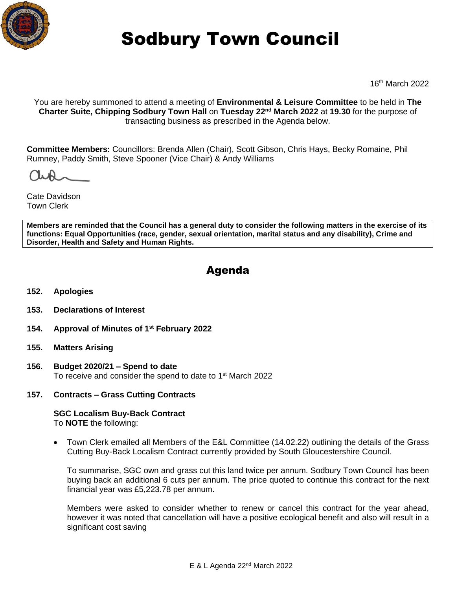

# Sodbury Town Council

16th March 2022

You are hereby summoned to attend a meeting of **Environmental & Leisure Committee** to be held in **The Charter Suite, Chipping Sodbury Town Hall** on **Tuesday 22nd March 2022** at **19.30** for the purpose of transacting business as prescribed in the Agenda below.

**Committee Members:** Councillors: Brenda Allen (Chair), Scott Gibson, Chris Hays, Becky Romaine, Phil Rumney, Paddy Smith, Steve Spooner (Vice Chair) & Andy Williams

Cate Davidson Town Clerk

**Members are reminded that the Council has a general duty to consider the following matters in the exercise of its functions: Equal Opportunities (race, gender, sexual orientation, marital status and any disability), Crime and Disorder, Health and Safety and Human Rights.** 

# Agenda

- **152. Apologies**
- **153. Declarations of Interest**
- **154. Approval of Minutes of 1 st February 2022**
- **155. Matters Arising**
- **156. Budget 2020/21 – Spend to date** To receive and consider the spend to date to 1<sup>st</sup> March 2022
- **157. Contracts – Grass Cutting Contracts**

**SGC Localism Buy-Back Contract** To **NOTE** the following:

• Town Clerk emailed all Members of the E&L Committee (14.02.22) outlining the details of the Grass Cutting Buy-Back Localism Contract currently provided by South Gloucestershire Council.

To summarise, SGC own and grass cut this land twice per annum. Sodbury Town Council has been buying back an additional 6 cuts per annum. The price quoted to continue this contract for the next financial year was £5,223.78 per annum.

Members were asked to consider whether to renew or cancel this contract for the year ahead, however it was noted that cancellation will have a positive ecological benefit and also will result in a significant cost saving